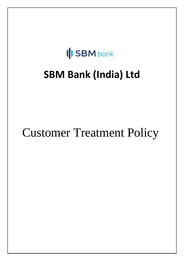# **SBM** bank

# **SBM Bank (India) Ltd**

# Customer Treatment Policy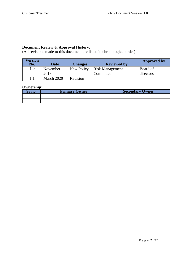#### **Document Review & Approval History:**

(All revisions made to this document are listed in chronological order)

| <sup>7</sup> ersion<br>No. | Date             | <b>Changes</b> | <b>Reviewed by</b>                  | <b>Approved by</b>    |
|----------------------------|------------------|----------------|-------------------------------------|-----------------------|
| 1.0                        | November<br>2018 | New Policy     | <b>Risk Management</b><br>Committee | Board of<br>directors |
|                            | March 2020       | Revision       |                                     |                       |

## **Ownership:**

| no. | <b>Primary Owner</b> | <b>Secondary Owner</b> |
|-----|----------------------|------------------------|
|     |                      |                        |
|     |                      |                        |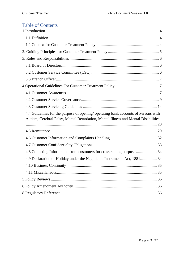# Table of Contents

| 4.4 Guidelines for the purpose of opening/ operating bank accounts of Persons with<br>Autism, Cerebral Palsy, Mental Retardation, Mental Illness and Mental Disabilities |  |
|--------------------------------------------------------------------------------------------------------------------------------------------------------------------------|--|
|                                                                                                                                                                          |  |
|                                                                                                                                                                          |  |
|                                                                                                                                                                          |  |
| 4.8 Collecting Information from customers for cross-selling purpose  34                                                                                                  |  |
| 4.9 Declaration of Holiday under the Negotiable Instruments Act, 1881 34                                                                                                 |  |
|                                                                                                                                                                          |  |
|                                                                                                                                                                          |  |
|                                                                                                                                                                          |  |
|                                                                                                                                                                          |  |
|                                                                                                                                                                          |  |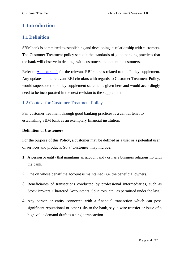# <span id="page-3-0"></span>**1 Introduction**

# <span id="page-3-1"></span>**1.1 Definition**

SBM bank is committed to establishing and developing its relationship with customers. The Customer Treatment policy sets out the standards of good banking practices that the bank will observe in dealings with customers and potential customers.

Refer to Annexure - 1 for the relevant RBI sources related to this Policy supplement. Any updates in the relevant RBI circulars with regards to Customer Treatment Policy, would supersede the Policy supplement statements given here and would accordingly need to be incorporated in the next revision to the supplement.

# <span id="page-3-2"></span>1.2 Context for Customer Treatment Policy

Fair customer treatment through good banking practices is a central tenet to establishing SBM bank as an exemplary financial institution.

## **Definition of Customers**

For the purpose of this Policy, a customer may be defined as a user or a potential user of services and products. So a 'Customer' may include:

- 1 A person or entity that maintains an account and / or has a business relationship with the bank.
- 2 One on whose behalf the account is maintained (i.e. the beneficial owner).
- 3 Beneficiaries of transactions conducted by professional intermediaries, such as Stock Brokers, Chartered Accountants, Solicitors, etc., as permitted under the law.
- 4 Any person or entity connected with a financial transaction which can pose significant reputational or other risks to the bank, say, a wire transfer or issue of a high value demand draft as a single transaction.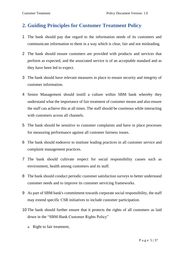# <span id="page-4-0"></span>**2. Guiding Principles for Customer Treatment Policy**

- 1 The bank should pay due regard to the information needs of its customers and communicate information to them in a way which is clear, fair and not misleading.
- 2 The bank should ensure customers are provided with products and services that perform as expected, and the associated service is of an acceptable standard and as they have been led to expect.
- 3 The bank should have relevant measures in place to ensure security and integrity of customer information.
- 4 Senior Management should instill a culture within SBM bank whereby they understand what the importance of fair treatment of customer means and also ensure the staff can achieve this at all times. The staff should be courteous while interacting with customers across all channels.
- 5 The bank should be sensitive to customer complaints and have in place processes for measuring performance against all customer fairness issues.
- 6 The bank should endeavor to institute leading practices in all customer service and complaint management practices.
- 7 The bank should cultivate respect for social responsibility causes such as environment, health among customers and its staff.
- 8 The bank should conduct periodic customer satisfaction surveys to better understand customer needs and to improve its customer servicing frameworks.
- 9 As part of SBM bank's commitment towards corporate social responsibility, the staff may extend specific CSR initiatives to include customer participation.
- 10 The bank should further ensure that it protects the rights of all customers as laid down in the "SBM-Bank Customer Rights Policy"
	- a. Right to fair treatment,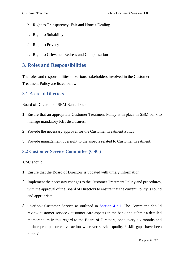- b. Right to Transparency, Fair and Honest Dealing
- c. Right to Suitability
- d. Right to Privacy
- e. Right to Grievance Redress and Compensation

# <span id="page-5-0"></span>**3. Roles and Responsibilities**

The roles and responsibilities of various stakeholders involved in the Customer Treatment Policy are listed below:

# <span id="page-5-1"></span>3.1 Board of Directors

Board of Directors of SBM Bank should:

- 1 Ensure that an appropriate Customer Treatment Policy is in place in SBM bank to manage mandatory RBI disclosures.
- 2 Provide the necessary approval for the Customer Treatment Policy.
- 3 Provide management oversight to the aspects related to Customer Treatment.

# <span id="page-5-2"></span>**3.2 Customer Service Committee (CSC)**

CSC should:

- 1 Ensure that the Board of Directors is updated with timely information.
- 2 Implement the necessary changes to the Customer Treatment Policy and procedures, with the approval of the Board of Directors to ensure that the current Policy is sound and appropriate.
- 3 Overlook Customer Service as outlined in Section 4.2.1. The Committee should review customer service / customer care aspects in the bank and submit a detailed memorandum in this regard to the Board of Directors, once every six months and initiate prompt corrective action wherever service quality / skill gaps have been noticed.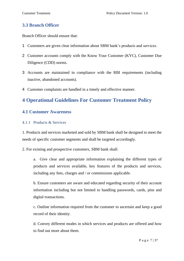# <span id="page-6-0"></span>**3.3 Branch Officer**

Branch Officer should ensure that:

- 1 Customers are given clear information about SBM bank's products and services.
- 2 Customer accounts comply with the Know Your Customer (KYC), Customer Due Diligence (CDD) norms.
- 3 Accounts are maintained in compliance with the RBI requirements (including inactive, abandoned accounts).
- 4 Customer complaints are handled in a timely and effective manner.

# <span id="page-6-1"></span>**4 Operational Guidelines For Customer Treatment Policy**

# <span id="page-6-2"></span>**4.1 Customer Awareness**

## 4.1.1 Products & Services

1. Products and services marketed and sold by SBM bank shall be designed to meet the needs of specific customer segments and shall be targeted accordingly.

2. For existing and prospective customers, SBM bank shall:

a. Give clear and appropriate information explaining the different types of products and services available, key features of the products and services, including any fees, charges and / or commissions applicable.

b. Ensure customers are aware and educated regarding security of their account information including but not limited to handling passwords, cards, pins and digital transactions.

c. Outline information required from the customer to ascertain and keep a good record of their identity.

d. Convey different modes in which services and products are offered and how to find out more about them.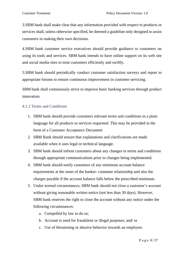3.SBM bank shall make clear that any information provided with respect to products or services shall, unless otherwise specified, be deemed a guideline only designed to assist customers in making their own decisions.

4.SBM bank customer service executives should provide guidance to customers on using its tools and services. SBM bank intends to have online support on its web site and social media sites to treat customers efficiently and swiftly.

5.SBM bank should periodically conduct customer satisfaction surveys and report to appropriate forums to ensure continuous improvement in customer servicing.

SBM bank shall continuously strive to improve basic banking services through product innovation.

## 4.1.2 Terms and Conditions

- 1. SBM bank should provide customers relevant terms and conditions in a plain language for all products or services requested. This may be provided in the form of a Customer Acceptance Document
- 2. SBM Bank should ensure that explanations and clarifications are made available when it uses legal or technical language.
- 3. SBM bank should inform customers about any changes to terms and conditions through appropriate communications prior to changes being implemented.
- 4. SBM bank should notify customers of any minimum account balance requirements at the onset of the banker- customer relationship and also the charges payable if the account balance falls below the prescribed minimum.
- 5. Under normal circumstances, SBM bank should not close a customer's account without giving reasonable written notice (not less than 30 days). However, SBM bank reserves the right to close the account without any notice under the following circumstances:
	- a. Compelled by law to do so;
	- b. Account is used for fraudulent or illegal purposes; and/ or
	- c. Use of threatening or abusive behavior towards an employee.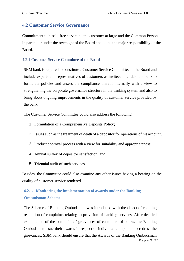# <span id="page-8-0"></span>**4.2 Customer Service Governance**

Commitment to hassle-free service to the customer at large and the Common Person in particular under the oversight of the Board should be the major responsibility of the Board.

#### 4.2.1 Customer Service Committee of the Board

SBM bank is required to constitute a Customer Service Committee of the Board and include experts and representatives of customers as invitees to enable the bank to formulate policies and assess the compliance thereof internally with a view to strengthening the corporate governance structure in the banking system and also to bring about ongoing improvements in the quality of customer service provided by the bank.

The Customer Service Committee could also address the following:

- 1 Formulation of a Comprehensive Deposits Policy;
- 2 Issues such as the treatment of death of a depositor for operations of his account;
- 3 Product approval process with a view for suitability and appropriateness;
- 4 Annual survey of depositor satisfaction; and
- 5 Triennial audit of such services.

Besides, the Committee could also examine any other issues having a bearing on the quality of customer service rendered.

# **4.2.1.1 Monitoring the implementation of awards under the Banking Ombudsman Scheme**

P a g e 9 | 37 The Scheme of Banking Ombudsman was introduced with the object of enabling resolution of complaints relating to provision of banking services. After detailed examination of the complaints / grievances of customers of banks, the Banking Ombudsmen issue their awards in respect of individual complaints to redress the grievances. SBM bank should ensure that the Awards of the Banking Ombudsman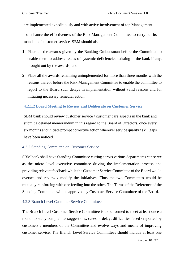are implemented expeditiously and with active involvement of top Management.

To enhance the effectiveness of the Risk Management Committee to carry out its mandate of customer service, SBM should also:

- 1 Place all the awards given by the Banking Ombudsman before the Committee to enable them to address issues of systemic deficiencies existing in the bank if any, brought out by the awards; and
- 2 Place all the awards remaining unimplemented for more than three months with the reasons thereof before the Risk Management Committee to enable the committee to report to the Board such delays in implementation without valid reasons and for initiating necessary remedial action.

# **4.2.1.2 Board Meeting to Review and Deliberate on Customer Service**

SBM bank should review customer service / customer care aspects in the bank and submit a detailed memorandum in this regard to the Board of Directors, once every six months and initiate prompt corrective action wherever service quality / skill gaps have been noticed.

## 4.2.2 Standing Committee on Customer Service

SBM bank shall have Standing Committee cutting across various departments can serve as the micro level executive committee driving the implementation process and providing relevant feedback while the Customer Service Committee of the Board would oversee and review / modify the initiatives. Thus the two Committees would be mutually reinforcing with one feeding into the other. The Terms of the Reference of the Standing Committee will be approved by Customer Service Committee of the Board.

## 4.2.3 Branch Level Customer Service Committee

The Branch Level Customer Service Committee is to be formed to meet at least once a month to study complaints/ suggestions, cases of delay; difficulties faced / reported by customers / members of the Committee and evolve ways and means of improving customer service. The Branch Level Service Committees should include at least one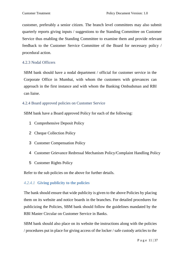customer, preferably a senior citizen. The branch level committees may also submit quarterly reports giving inputs / suggestions to the Standing Committee on Customer Service thus enabling the Standing Committee to examine them and provide relevant feedback to the Customer Service Committee of the Board for necessary policy / procedural action.

## 4.2.3 Nodal Officers

SBM bank should have a nodal department / official for customer service in the Corporate Office in Mumbai, with whom the customers with grievances can approach in the first instance and with whom the Banking Ombudsman and RBI can liaise.

## 4.2.4 Board approved policies on Customer Service

SBM bank have a Board approved Policy for each of the following:

- 1 Comprehensive Deposit Policy
- 2 Cheque Collection Policy
- 3 Customer Compensation Policy
- 4 Customer Grievance Redressal Mechanism Policy/Complaint Handling Policy
- 5 Customer Rights Policy

Refer to the sub policies on the above for further details.

## *4.2.4.1* **Giving publicity to the policies**

The bank should ensure that wide publicity is given to the above Policies by placing them on its website and notice boards in the branches. For detailed procedures for publicizing the Policies, SBM bank should follow the guidelines mandated by the RBI Master Circular on Customer Service in Banks.

SBM bank should also place on its website the instructions along with the policies / procedures put in place for giving access of the locker / safe custody articles to the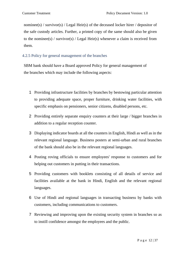nominee(s) / survivor(s) / Legal Heir(s) of the deceased locker hirer / depositor of the safe custody articles. Further, a printed copy of the same should also be given to the nominee(s) / survivor(s) / Legal Heir(s) whenever a claim is received from them.

# 4.2.5 Policy for general management of the branches

SBM bank should have a Board approved Policy for general management of the branches which may include the following aspects:

- 1 Providing infrastructure facilities by branches by bestowing particular attention to providing adequate space, proper furniture, drinking water facilities, with specific emphasis on pensioners, senior citizens, disabled persons, etc.
- 2 Providing entirely separate enquiry counters at their large / bigger branches in addition to a regular reception counter.
- 3 Displaying indicator boards at all the counters in English, Hindi as well as in the relevant regional language. Business posters at semi-urban and rural branches of the bank should also be in the relevant regional languages.
- 4 Posting roving officials to ensure employees' response to customers and for helping out customers in putting in their transactions.
- 5 Providing customers with booklets consisting of all details of service and facilities available at the bank in Hindi, English and the relevant regional languages.
- 6 Use of Hindi and regional languages in transacting business by banks with customers, including communications to customers.
- 7 Reviewing and improving upon the existing security system in branches so as to instill confidence amongst the employees and the public.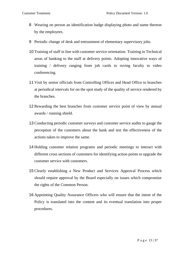- 8 Wearing on person an identification badge displaying photo and name thereon by the employees.
- 9 Periodic change of desk and entrustment of elementary supervisory jobs.
- 10 Training of staff in line with customer service orientation. Training in Technical areas of banking to the staff at delivery points. Adopting innovative ways of training / delivery ranging from job cards to roving faculty to video conferencing.
- 11 Visit by senior officials from Controlling Offices and Head Office to branches at periodical intervals for on the spot study of the quality of service rendered by the branches.
- 12 Rewarding the best branches from customer service point of view by annual awards / running shield.
- 13 Conducting periodic customer surveys and customer service audits to gauge the perception of the customers about the bank and test the effectiveness of the actions taken to improve the same.
- 14 Holding customer relation programs and periodic meetings to interact with different cross sections of customers for identifying action points to upgrade the customer service with customers.
- 15 Clearly establishing a New Product and Services Approval Process which should require approval by the Board especially on issues which compromise the rights of the Common Person.
- 16 Appointing Quality Assurance Officers who will ensure that the intent of the Policy is translated into the content and its eventual translation into proper procedures.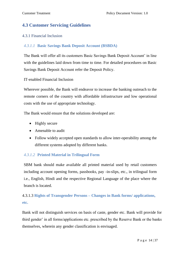# <span id="page-13-0"></span>**4.3 Customer Servicing Guidelines**

#### 4.3.1 Financial Inclusion

## *4.3.1.1* **Basic Savings Bank Deposit Account (BSBDA)**

The Bank will offer all its customers Basic Savings Bank Deposit Account' in line with the guidelines laid down from time to time. For detailed procedures on Basic Savings Bank Deposit Account refer the Deposit Policy.

#### IT-enabled Financial Inclusion

Wherever possible, the Bank will endeavor to increase the banking outreach to the remote corners of the country with affordable infrastructure and low operational costs with the use of appropriate technology.

The Bank would ensure that the solutions developed are:

- Highly secure
- Amenable to audit
- Follow widely accepted open standards to allow inter-operability among the different systems adopted by different banks.

## *4.3.1.2* **Printed Material in Trilingual Form**

SBM bank should make available all printed material used by retail customers including account opening forms, passbooks, pay -in-slips, etc., in trilingual form i.e., English, Hindi and the respective Regional Language of the place where the branch is located.

# 4.3.1.3 **Rights of Transgender Persons – Changes in Bank forms/ applications, etc.**

Bank will not distinguish services on basis of caste, gender etc. Bank will provide for third gender' in all forms/applications etc. prescribed by the Reserve Bank or the banks themselves, wherein any gender classification is envisaged.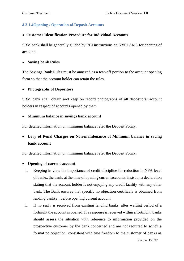# **4.3.1.4Opening / Operation of Deposit Accounts**

## • **Customer Identification Procedure for Individual Accounts**

SBM bank shall be generally guided by RBI instructions on KYC/ AML for opening of accounts.

#### • **Saving bank Rules**

The Savings Bank Rules must be annexed as a tear-off portion to the account opening form so that the account holder can retain the rules.

#### • **Photographs of Depositors**

SBM bank shall obtain and keep on record photographs of all depositors/ account holders in respect of accounts opened by them

#### • **Minimum balance in savings bank account**

For detailed information on minimum balance refer the Deposit Policy.

# • **Levy of Penal Charges on Non-maintenance of Minimum balance in saving bank account**

For detailed information on minimum balance refer the Deposit Policy.

#### • **Opening of current account**

- i. Keeping in view the importance of credit discipline for reduction in NPA level of banks, the bank, at the time of opening current accounts, insist on a declaration stating that the account holder is not enjoying any credit facility with any other bank. The Bank ensures that specific no objection certificate is obtained from lending bank(s), before opening current account.
- ii. If no reply is received from existing lending banks, after waiting period of a fortnight the account is opened. If a response is received within a fortnight, banks should assess the situation with reference to information provided on the prospective customer by the bank concerned and are not required to solicit a formal no objection, consistent with true freedom to the customer of banks as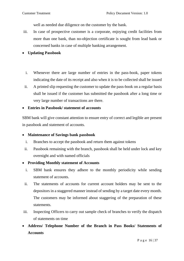well as needed due diligence on the customer by the bank.

- iii. In case of prospective customer is a corporate, enjoying credit facilities from more than one bank, than no-objection certificate is sought from lead bank or concerned banks in case of multiple banking arrangement.
- **Updating Passbook**
	- i. Whenever there are large number of entries in the pass-book, paper tokens indicating the date of its receipt and also when it is to be collected shall be issued
	- ii. A printed slip requesting the customer to update the pass-book on a regular basis shall be issued if the customer has submitted the passbook after a long time or very large number of transactions are there.
- **Entries in Passbook/ statement of accounts**

SBM bank will give constant attention to ensure entry of correct and legible are present in passbook and statement of accounts.

#### • **Maintenance of Savings bank passbook**

- i. Branches to accept the passbook and return them against tokens
- ii. Passbook remaining with the branch, passbook shall be held under lock and key overnight and with named officials

## • **Providing Monthly statement of Accounts**

- i. SBM bank ensures they adhere to the monthly periodicity while sending statement of accounts.
- ii. The statements of accounts for current account holders may be sent to the depositors in a staggered manner instead of sending by a target date every month. The customers may be informed about staggering of the preparation of these statements.
- iii. Inspecting Officers to carry out sample check of branches to verify the dispatch of statements on time
- **Address/ Telephone Number of the Branch in Pass Books/ Statements of Accounts**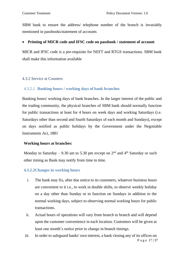SBM bank to ensure the address/ telephone number of the branch is invariably mentioned in passbooks/statement of accounts

#### • **Printing of MICR code and IFSC code on passbook / statement of account**

MICR and IFSC code is a pre-requisite for NEFT and RTGS transactions. SBM bank shall make this information available

## 4.3.2 Service at Counters

## *4.3.2.1* **Banking hours / working days of bank branches**

Banking hours/ working days of bank branches. In the larger interest of the public and the trading community, the physical branches of SBM bank should normally function for public transactions at least for 4 hours on week days and working Saturdays (i.e. Saturdays other than second and fourth Saturdays of each month and Sundays), except on days notified as public holidays by the Government under the Negotiable Instruments Act, 1881

#### **Working hours at branches:**

Monday to Saturday – 9.30 am to 5.30 pm except on  $2<sup>nd</sup>$  and  $4<sup>th</sup>$  Saturday or such other timing as Bank may notify from time to time.

#### **4.3.2.2Changes in working hours**

- i. The bank may fix, after due notice to its customers, whatever business hours are convenient to it i.e., to work in double shifts, to observe weekly holiday on a day other than Sunday or to function on Sundays in addition to the normal working days, subject to observing normal working hours for public transactions.
- ii. Actual hours of operations will vary from branch to branch and will depend upon the customer convenience in each location. Customers will be given at least one month's notice prior to change in branch timings.
- P a g e 17 | 37 iii. In order to safeguard banks' own interest, a bank closing any of its offices on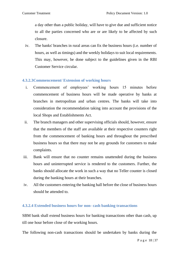a day other than a public holiday, will have to give due and sufficient notice to all the parties concerned who are or are likely to be affected by such closure.

iv. The banks' branches in rural areas can fix the business hours (i.e. number of hours, as well as timings) and the weekly holidays to suit local requirements. This may, however, be done subject to the guidelines given in the RBI Customer Service circular.

#### **4.3.2.3Commencement/ Extension of working hours**

- i. Commencement of employees' working hours 15 minutes before commencement of business hours will be made operative by banks at branches in metropolitan and urban centres. The banks will take into consideration the recommendation taking into account the provisions of the local Shops and Establishments Act.
- ii. The branch managers and other supervising officials should, however, ensure that the members of the staff are available at their respective counters right from the commencement of banking hours and throughout the prescribed business hours so that there may not be any grounds for customers to make complaints.
- iii. Bank will ensure that no counter remains unattended during the business hours and uninterrupted service is rendered to the customers. Further, the banks should allocate the work in such a way that no Teller counter is closed during the banking hours at their branches.
- iv. All the customers entering the banking hall before the close of business hours should be attended to.

#### **4.3.2.4 Extended business hours for non- cash banking transactions**

SBM bank shall extend business hours for banking transactions other than cash, up till one hour before close of the working hours.

The following non-cash transactions should be undertaken by banks during the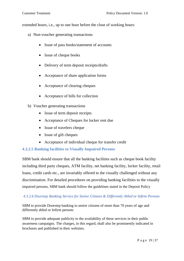extended hours, i.e., up to one hour before the close of working hours:

- a) Non-voucher generating transactions
	- Issue of pass books/statement of accounts
	- Issue of cheque books
	- Delivery of term deposit receipts/drafts
	- Acceptance of share application forms
	- Acceptance of clearing cheques
	- Acceptance of bills for collection
- b) Voucher generating transactions
	- Issue of term deposit receipts
	- Acceptance of Cheques for locker rent due
	- Issue of travelers cheque
	- Issue of gift cheques
	- Acceptance of individual cheque for transfer credit

#### **4.3.2.5 Banking facilities to Visually Impaired Persons**

SBM bank should ensure that all the banking facilities such as cheque book facility including third party cheques, ATM facility, net banking facility, locker facility, retail loans, credit cards etc., are invariably offered to the visually challenged without any discrimination. For detailed procedures on providing banking facilities to the visually impaired persons, SBM bank should follow the guidelines stated in the Deposit Policy

#### *4.3.2.6 Doorstep Banking Service for Senior Citizens & Differently Abled or Infirm Persons*

SBM to provide Doorstep banking to senior citizens of more than 70 years of age and differently abled or Infirm persons

SBM to provide adequate publicity to the availability of these services in their public awareness campaigns. The charges, in this regard, shall also be prominently indicated in brochures and published in their websites.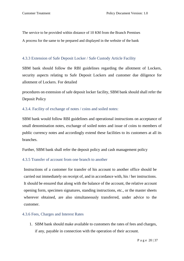The service to be provided within distance of 10 KM from the Branch Premises A process for the same to be prepared and displayed in the website of the bank

#### 4.3.3 Extension of Safe Deposit Locker / Safe Custody Article Facility

SBM bank should follow the RBI guidelines regarding the allotment of Lockers, security aspects relating to Safe Deposit Lockers and customer due diligence for allotment of Lockers. For detailed

procedures on extension of safe deposit locker facility, SBM bank should shall refer the Deposit Policy

#### 4.3.4. Facility of exchange of notes / coins and soiled notes:

SBM bank would follow RBI guidelines and operational instructions on acceptance of small denomination notes, exchange of soiled notes and issue of coins to members of public currency notes and accordingly extend these facilities to its customers at all its branches.

Further, SBM bank shall refer the deposit policy and cash management policy

#### 4.3.5 Transfer of account from one branch to another

Instructions of a customer for transfer of his account to another office should be carried out immediately on receipt of, and in accordance with, his / her instructions. It should be ensured that along with the balance of the account, the relative account opening form, specimen signatures, standing instructions, etc., or the master sheets wherever obtained, are also simultaneously transferred, under advice to the customer.

#### 4.3.6 Fees, Charges and Interest Rates

1. SBM bank should make available to customers the rates of fees and charges, if any, payable in connection with the operation of their account.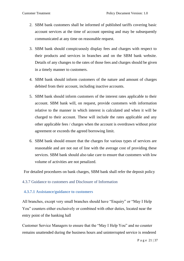- 2. SBM bank customers shall be informed of published tariffs covering basic account services at the time of account opening and may be subsequently communicated at any time on reasonable request.
- 3. SBM bank should conspicuously display fees and charges with respect to their products and services in branches and on the SBM bank website. Details of any changes to the rates of those fees and charges should be given in a timely manner to customers.
- 4. SBM bank should inform customers of the nature and amount of charges debited from their account, including inactive accounts.
- 5. SBM bank should inform customers of the interest rates applicable to their account. SBM bank will, on request, provide customers with information relative to the manner in which interest is calculated and when it will be charged to their account. These will include the rates applicable and any other applicable fees / charges when the account is overdrawn without prior agreement or exceeds the agreed borrowing limit.
- 6. SBM bank should ensure that the charges for various types of services are reasonable and are not out of line with the average cost of providing these services. SBM bank should also take care to ensure that customers with low volume of activities are not penalized.

For detailed procedures on bank charges, SBM bank shall refer the deposit policy

#### 4.3.7 Guidance to customers and Disclosure of Information

#### **4.3.7.1 Assistance/guidance to customers**

All branches, except very small branches should have "Enquiry" or "May I Help You" counters either exclusively or combined with other duties, located near the entry point of the banking hall

Customer Service Managers to ensure that the "May I Help You" and no counter remains unattended during the business hours and uninterrupted service is rendered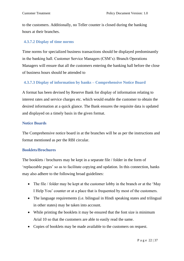to the customers. Additionally, no Teller counter is closed during the banking hours at their branches.

## **4.3.7.2 Display of time norms**

Time norms for specialized business transactions should be displayed predominantly in the banking hall. Customer Service Managers (CSM's) /Branch Operations Managers will ensure that all the customers entering the banking hall before the close of business hours should be attended to

## **4.3.7.3 Display of information by banks – Comprehensive Notice Board**

A format has been devised by Reserve Bank for display of information relating to interest rates and service charges etc. which would enable the customer to obtain the desired information at a quick glance. The Bank ensures the requisite data is updated and displayed on a timely basis in the given format.

#### **Notice Boards**

The Comprehensive notice board in at the branches will be as per the instructions and format mentioned as per the RBI circular.

#### **Booklets/Brochures**

The booklets / brochures may be kept in a separate file / folder in the form of 'replaceable pages' so as to facilitate copying and updation. In this connection, banks may also adhere to the following broad guidelines:

- The file / folder may be kept at the customer lobby in the branch or at the 'May I Help You' counter or at a place that is frequented by most of the customers.
- The language requirements (i.e. bilingual in Hindi speaking states and trilingual in other states) may be taken into account.
- While printing the booklets it may be ensured that the font size is minimum Arial 10 so that the customers are able to easily read the same.
- Copies of booklets may be made available to the customers on request.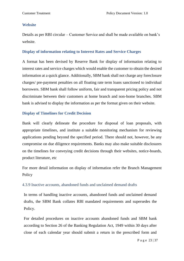#### **Website**

Details as per RBI circular – Customer Service and shall be made available on bank's website.

#### **Display of information relating to Interest Rates and Service Charges**

A format has been devised by Reserve Bank for display of information relating to interest rates and service charges which would enable the customer to obtain the desired information at a quick glance. Additionally, SBM bank shall not charge any foreclosure charges/ pre-payment penalties on all floating rate term loans sanctioned to individual borrowers. SBM bank shall follow uniform, fair and transparent pricing policy and not discriminate between their customers at home branch and non-home branches. SBM bank is advised to display the information as per the format given on their website.

## **Display of Timelines for Credit Decision**

Bank will clearly delineate the procedure for disposal of loan proposals, with appropriate timelines, and institute a suitable monitoring mechanism for reviewing applications pending beyond the specified period. There should not, however, be any compromise on due diligence requirements. Banks may also make suitable disclosures on the timelines for conveying credit decisions through their websites, notice-boards, product literature, etc

For more detail information on display of information refer the Branch Management Policy

## 4.3.9 Inactive accounts, abandoned funds and unclaimed demand drafts

In terms of handling inactive accounts, abandoned funds and unclaimed demand drafts, the SBM Bank collates RBI mandated requirements and supersedes the Policy.

For detailed procedures on inactive accounts abandoned funds and SBM bank according to Section 26 of the Banking Regulation Act, 1949 within 30 days after close of each calendar year should submit a return in the prescribed form and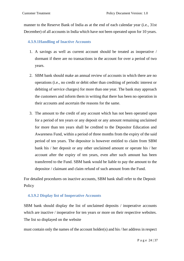manner to the Reserve Bank of India as at the end of each calendar year (i.e., 31st December) of all accounts in India which have not been operated upon for 10 years.

#### **4.3.9.1Handling of Inactive Accounts**

- 1. A savings as well as current account should be treated as inoperative / dormant if there are no transactions in the account for over a period of two years.
- 2. SBM bank should make an annual review of accounts in which there are no operations (i.e., no credit or debit other than crediting of periodic interest or debiting of service charges) for more than one year. The bank may approach the customers and inform them in writing that there has been no operation in their accounts and ascertain the reasons for the same.
- 3. The amount to the credit of any account which has not been operated upon for a period of ten years or any deposit or any amount remaining unclaimed for more than ten years shall be credited to the Depositor Education and Awareness Fund, within a period of three months from the expiry of the said period of ten years. The depositor is however entitled to claim from SBM bank his / her deposit or any other unclaimed amount or operate his / her account after the expiry of ten years, even after such amount has been transferred to the Fund. SBM bank would be liable to pay the amount to the depositor / claimant and claim refund of such amount from the Fund.

For detailed procedures on inactive accounts, SBM bank shall refer to the Deposit Policy

#### **4.3.9.2 Display list of Inoperative Accounts**

SBM bank should display the list of unclaimed deposits / inoperative accounts which are inactive / inoperative for ten years or more on their respective websites. The list so displayed on the website

must contain only the names of the account holder(s) and his / her address in respect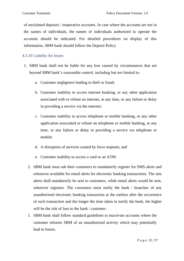of unclaimed deposits / inoperative accounts. In case where the accounts are not in the names of individuals, the names of individuals authorized to operate the accounts should be indicated. For detailed procedures on display of this information, SBM bank should follow the Deposit Policy

## 4.3.10 Liability for losses

- 1. SBM bank shall not be liable for any loss caused by circumstances that are beyond SBM bank's reasonable control, including but not limited to:
	- a. Customer negligence leading to theft or fraud;
	- b. Customer inability to access internet banking, or any other application associated with or reliant on internet, at any time, or any failure or delay in providing a service via the internet;
	- c. Customer inability to access telephone or mobile banking, or any other application associated or reliant on telephone or mobile banking, at any time, or any failure or delay in providing a service via telephone or mobile;
	- d. A disruption of services caused by force majeure; and
	- e. Customer inability to access a card or an ATM.
	- 2. SBM bank must ask their customers to mandatorily register for SMS alerts and whenever available for email alerts for electronic banking transactions. The sms alerts shall mandatorily be sent to customers, while email alerts would be sent, wherever registers. The customers must notify the bank / branches of any unauthorized electronic banking transaction at the earliest after the occurrence of such transaction and the longer the time taken to notify the bank, the higher will be the risk of loss to the bank / customer.
	- 1. SBM bank shall follow standard guidelines to inactivate accounts where the customer informs SBM of an unauthorized activity which may potentially lead to losses.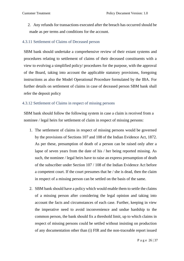2. Any refunds for transactions executed after the breach has occurred should be made as per terms and conditions for the account.

#### 4.3.11 Settlement of Claims of Deceased person

SBM bank should undertake a comprehensive review of their extant systems and procedures relating to settlement of claims of their deceased constituents with a view to evolving a simplified policy/ procedures for the purpose, with the approval of the Board, taking into account the applicable statutory provisions, foregoing instructions as also the Model Operational Procedure formulated by the IBA. For further details on settlement of claims in case of deceased person SBM bank shall refer the deposit policy

#### 4.3.12 Settlement of Claims in respect of missing persons

SBM bank should follow the following system in case a claim is received from a nominee / legal heirs for settlement of claim in respect of missing persons:

- 1. The settlement of claims in respect of missing persons would be governed by the provisions of Sections 107 and 108 of the Indian Evidence Act, 1872. As per these, presumption of death of a person can be raised only after a lapse of seven years from the date of his / her being reported missing. As such, the nominee / legal heirs have to raise an express presumption of death of the subscriber under Section 107 / 108 of the Indian Evidence Act before a competent court. If the court presumes that he / she is dead, then the claim in respect of a missing person can be settled on the basis of the same.
- 2. SBM bank should have a policy which would enable them to settle the claims of a missing person after considering the legal opinion and taking into account the facts and circumstances of each case. Further, keeping in view the imperative need to avoid inconvenience and undue hardship to the common person, the bank should fix a threshold limit, up to which claims in respect of missing persons could be settled without insisting on production of any documentation other than (i) FIR and the non-traceable report issued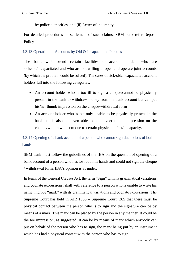by police authorities, and (ii) Letter of indemnity.

For detailed procedures on settlement of such claims, SBM bank refer Deposit **Policy** 

## 4.3.13 Operation of Accounts by Old & Incapacitated Persons

The bank will extend certain facilities to account holders who are sick/old/incapacitated and who are not willing to open and operate joint accounts (by which the problem could be solved). The cases of sick/old/incapacitated account holders fall into the following categories:

- An account holder who is too ill to sign a cheque/cannot be physically present in the bank to withdraw money from his bank account but can put his/her thumb impression on the cheque/withdrawal form
- An account holder who is not only unable to be physically present in the bank but is also not even able to put his/her thumb impression on the cheque/withdrawal form due to certain physical defect/ incapacity.

# 4.3.14 Opening of a bank account of a person who cannot sign due to loss of both hands

SBM bank must follow the guidelines of the IBA on the question of opening of a bank account of a person who has lost both his hands and could not sign the cheque / withdrawal form. IBA's opinion is as under:

In terms of the General Clauses Act, the term "Sign" with its grammatical variations and cognate expressions, shall with reference to a person who is unable to write his name, include "mark" with its grammatical variations and cognate expressions. The Supreme Court has held in AIR 1950 – Supreme Court, 265 that there must be physical contact between the person who is to sign and the signature can be by means of a mark. This mark can be placed by the person in any manner. It could be the toe impression, as suggested. It can be by means of mark which anybody can put on behalf of the person who has to sign, the mark being put by an instrument which has had a physical contact with the person who has to sign.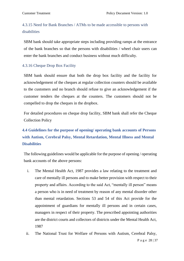# 4.3.15 Need for Bank Branches / ATMs to be made accessible to persons with disabilities

SBM bank should take appropriate steps including providing ramps at the entrance of the bank branches so that the persons with disabilities / wheel chair users can enter the bank branches and conduct business without much difficulty.

#### 4.3.16 Cheque Drop Box Facility

SBM bank should ensure that both the drop box facility and the facility for acknowledgement of the cheques at regular collection counters should be available to the customers and no branch should refuse to give an acknowledgement if the customer tenders the cheques at the counters. The customers should not be compelled to drop the cheques in the dropbox.

For detailed procedures on cheque drop facility, SBM bank shall refer the Cheque Collection Policy

# <span id="page-27-0"></span>**4.4 Guidelines for the purpose of opening/ operating bank accounts of Persons with Autism, Cerebral Palsy, Mental Retardation, Mental Illness and Mental Disabilities**

The following guidelines would be applicable for the purpose of opening / operating bank accounts of the above persons:

- i. The Mental Health Act, 1987 provides a law relating to the treatment and care of mentally ill persons and to make better provision with respect to their property and affairs. According to the said Act, "mentally ill person" means a person who is in need of treatment by reason of any mental disorder other than mental retardation. Sections 53 and 54 of this Act provide for the appointment of guardians for mentally ill persons and in certain cases, managers in respect of their property. The prescribed appointing authorities are the district courts and collectors of districts under the Mental Health Act, 1987
- ii. The National Trust for Welfare of Persons with Autism, Cerebral Palsy,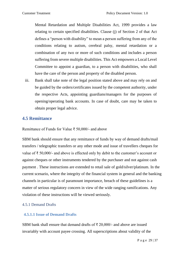Mental Retardation and Multiple Disabilities Act, 1999 provides a law relating to certain specified disabilities. Clause (j) of Section 2 of that Act defines a "person with disability" to mean a person suffering from any of the conditions relating to autism, cerebral palsy, mental retardation or a combination of any two or more of such conditions and includes a person suffering from severe multiple disabilities. This Act empowers a Local Level Committee to appoint a guardian, to a person with disabilities, who shall have the care of the person and property of the disabled person.

iii. Bank shall take note of the legal position stated above and may rely on and be guided by the orders/certificates issued by the competent authority, under the respective Acts, appointing guardians/managers for the purposes of opening/operating bank accounts. In case of doubt, care may be taken to obtain proper legal advice.

# <span id="page-28-0"></span>**4.5 Remittance**

Remittance of Funds for Value ₹ 50,000/- and above

SBM bank should ensure that any remittance of funds by way of demand drafts/mail transfers / telegraphic transfers or any other mode and issue of travellers cheques for value of ₹ 50,000/- and above is effected only by debit to the customer's account or against cheques or other instruments tendered by the purchaser and not against cash payment . These instructions are extended to retail sale of gold/silver/platinum. In the current scenario, where the integrity of the financial system in general and the banking channels in particular is of paramount importance, breach of these guidelines is a matter of serious regulatory concern in view of the wide ranging ramifications. Any violation of these instructions will be viewed seriously.

#### 4.5.1 Demand Drafts

#### **4.5.1.1 Issue of Demand Drafts**

SBM bank shall ensure that demand drafts of  $\bar{\tau}$  20,000/- and above are issued invariably with account payee crossing. All superscriptions about validity of the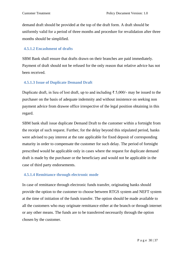demand draft should be provided at the top of the draft form. A draft should be uniformly valid for a period of three months and procedure for revalidation after three months should be simplified.

## **4.5.1.2 Encashment of drafts**

SBM Bank shall ensure that drafts drawn on their branches are paid immediately. Payment of draft should not be refused for the only reason that relative advice has not been received.

## **4.5.1.3 Issue of Duplicate Demand Draft**

Duplicate draft, in lieu of lost draft, up to and including ₹ 5,000/- may be issued to the purchaser on the basis of adequate indemnity and without insistence on seeking non payment advice from drawee office irrespective of the legal position obtaining in this regard.

SBM bank shall issue duplicate Demand Draft to the customer within a fortnight from the receipt of such request. Further, for the delay beyond this stipulated period, banks were advised to pay interest at the rate applicable for fixed deposit of corresponding maturity in order to compensate the customer for such delay. The period of fortnight prescribed would be applicable only in cases where the request for duplicate demand draft is made by the purchaser or the beneficiary and would not be applicable in the case of third party endorsements.

## **4.5.1.4 Remittance through electronic mode**

In case of remittance through electronic funds transfer, originating banks should provide the option to the customer to choose between RTGS system and NEFT system at the time of initiation of the funds transfer. The option should be made available to all the customers who may originate remittance either at the branch or through internet or any other means. The funds are to be transferred necessarily through the option chosen by the customer.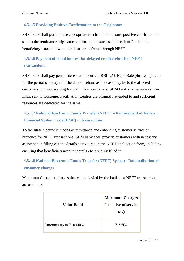## **4.5.1.5 Providing Positive Confirmation to the Originator**

SBM bank shall put in place appropriate mechanism to ensure positive confirmation is sent to the remittance originator confirming the successful credit of funds to the beneficiary's account when funds are transferred through NEFT.

# **4.5.1.6 Payment of penal interest for delayed credit /refunds of NEFT transactions**

SBM bank shall pay penal interest at the current RBI LAF Repo Rate plus two percent for the period of delay / till the date of refund as the case may be to the affected customers, without waiting for claim from customers. SBM bank shall ensure call/ emails sent to Customer Facilitation Centres are promptly attended to and sufficient resources are dedicated for the same.

# **4.5.1.7 National Electronic Funds Transfer (NEFT) – Requirement of Indian Financial System Code (IFSC) in transactions**

To facilitate electronic modes of remittance and enhancing customer service at branches for NEFT transactions, SBM bank shall provide customers with necessary assistance in filling out the details as required in the NEFT application form, including ensuring that beneficiary account details etc. are duly filled in.

# **4.5.1.8 National Electronic Funds Transfer (NEFT) System - Rationalisation of customer charges**

Maximum Customer charges that can be levied by the banks for NEFT transactions are as under:

| <b>Value Band</b>                       | <b>Maximum Charges</b><br>(exclusive of service<br>tax) |
|-----------------------------------------|---------------------------------------------------------|
| Amounts up to $\overline{\xi}10,000/$ - | ₹ 2.50/-                                                |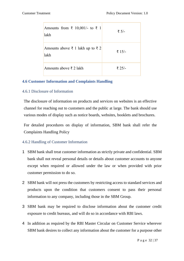| Amounts from ₹ 10,001/- to ₹ 1<br>lakh                       | ₹ 5/-  |
|--------------------------------------------------------------|--------|
| Amounts above $\bar{\xi}$ 1 lakh up to $\bar{\xi}$ 2<br>lakh | ₹ 15/- |
| Amounts above $\bar{\xi}$ 2 lakh                             | ₹ 25/- |

## <span id="page-31-0"></span>**4.6 Customer Information and Complaints Handling**

#### 4.6.1 Disclosure of Information

The disclosure of information on products and services on websites is an effective channel for reaching out to customers and the public at large. The bank should use various modes of display such as notice boards, websites, booklets and brochures.

For detailed procedures on display of information, SBM bank shall refer the Complaints Handling Policy

#### 4.6.2 Handling of Customer Information

- 1 SBM bank shall treat customer information as strictly private and confidential. SBM bank shall not reveal personal details or details about customer accounts to anyone except when required or allowed under the law or when provided with prior customer permission to do so.
- 2 SBM bank will not press the customers by restricting access to standard services and products upon the condition that customers consent to pass their personal information to any company, including those in the SBM Group.
- 3 SBM bank may be required to disclose information about the customer credit exposure to credit bureaus, and will do so in accordance with RBI laws.
- 4 In addition as required by the RBI Master Circular on Customer Service wherever SBM bank desires to collect any information about the customer for a purpose other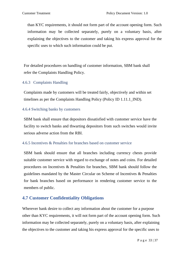than KYC requirements, it should not form part of the account opening form. Such information may be collected separately, purely on a voluntary basis, after explaining the objectives to the customer and taking his express approval for the specific uses to which such information could be put.

For detailed procedures on handling of customer information, SBM bank shall refer the Complaints Handling Policy.

## 4.6.3 Complaints Handling

Complaints made by customers will be treated fairly, objectively and within set timelines as per the Complaints Handling Policy (Policy ID 1.11.1\_IND).

## 4.6.4 Switching banks by customers

SBM bank shall ensure that depositors dissatisfied with customer service have the facility to switch banks and thwarting depositors from such switches would invite serious adverse action from the RBI.

#### 4.6.5 Incentives & Penalties for branches based on customer service

SBM bank should ensure that all branches including currency chests provide suitable customer service with regard to exchange of notes and coins. For detailed procedures on Incentives & Penalties for branches, SBM bank should follow the guidelines mandated by the Master Circular on Scheme of Incentives & Penalties for bank branches based on performance in rendering customer service to the members of public.

# <span id="page-32-0"></span>**4.7 Customer Confidentiality Obligations**

Wherever bank desire to collect any information about the customer for a purpose other than KYC requirements, it will not form part of the account opening form. Such information may be collected separately, purely on a voluntary basis, after explaining the objectives to the customer and taking his express approval for the specific uses to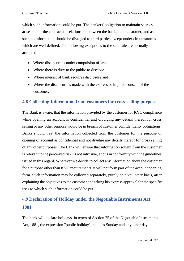which such information could be put. The bankers' obligation to maintain secrecy arises out of the contractual relationship between the banker and customer, and as such no information should be divulged to third parties except under circumstances which are well defined. The following exceptions to the said rule are normally accepted:

- Where disclosure is under compulsion of law
- Where there is duty to the public to disclose
- Where interest of bank requires disclosure and
- Where the disclosure is made with the express or implied consent of the customer.

# <span id="page-33-0"></span>**4.8 Collecting Information from customers for cross-selling purpose**

The Bank is aware, that the information provided by the customer for KYC compliance while opening an account is confidential and divulging any details thereof for cross selling or any other purpose would be in breach of customer confidentiality obligations. Banks should treat the information collected from the customer for the purpose of opening of account as confidential and not divulge any details thereof for cross selling or any other purposes. The Bank will ensure that information sought from the customer is relevant to the perceived risk, is not intrusive, and is in conformity with the guidelines issued in this regard. Wherever we decide to collect any information about the customer for a purpose other than KYC requirements, it will not form part of the account opening form. Such information may be collected separately, purely on a voluntary basis, after explaining the objectives to the customer and taking his express approval for the specific uses to which such information could be put.

# <span id="page-33-1"></span>**4.9 Declaration of Holiday under the Negotiable Instruments Act, 1881**

The bank will declare holidays, in terms of Section 25 of the Negotiable Instruments Act, 1881, the expression "public holiday" includes Sunday and any other day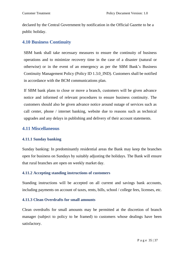declared by the Central Government by notification in the Official Gazette to be a public holiday.

# <span id="page-34-0"></span>**4.10 Business Continuity**

SBM bank shall take necessary measures to ensure the continuity of business operations and to minimize recovery time in the case of a disaster (natural or otherwise) or in the event of an emergency as per the SBM Bank's Business Continuity Management Policy (Policy ID 1.3.0\_IND). Customers shall be notified in accordance with the BCM communications plan.

If SBM bank plans to close or move a branch, customers will be given advance notice and informed of relevant procedures to ensure business continuity. The customers should also be given advance notice around outage of services such as call center, phone / internet banking, website due to reasons such as technical upgrades and any delays in publishing and delivery of their account statements.

# <span id="page-34-1"></span>**4.11 Miscellaneous**

#### **4.11.1 Sunday banking**

Sunday banking: In predominantly residential areas the Bank may keep the branches open for business on Sundays by suitably adjusting the holidays. The Bank will ensure that rural branches are open on weekly market day.

#### **4.11.2 Accepting standing instructions of customers**

Standing instructions will be accepted on all current and savings bank accounts, including payments on account of taxes, rents, bills, school / college fees, licenses, etc.

#### **4.11.3 Clean Overdrafts for small amounts**

Clean overdrafts for small amounts may be permitted at the discretion of branch manager (subject to policy to be framed) to customers whose dealings have been satisfactory.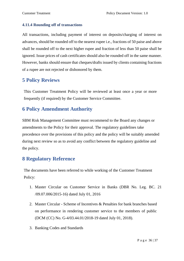#### **4.11.4 Rounding off of transactions**

All transactions, including payment of interest on deposits/charging of interest on advances, should be rounded off to the nearest rupee i.e., fractions of 50 paise and above shall be rounded off to the next higher rupee and fraction of less than 50 paise shall be ignored. Issue prices of cash certificates should also be rounded off in the same manner. However, banks should ensure that cheques/drafts issued by clients containing fractions of a rupee are not rejected or dishonored by them.

# <span id="page-35-0"></span>**5 Policy Reviews**

This Customer Treatment Policy will be reviewed at least once a year or more frequently (if required) by the Customer Service Committee.

# <span id="page-35-1"></span>**6 Policy Amendment Authority**

SBM Risk Management Committee must recommend to the Board any changes or amendments to the Policy for their approval. The regulatory guidelines take precedence over the provisions of this policy and the policy will be suitably amended during next review so as to avoid any conflict between the regulatory guideline and the policy.

# <span id="page-35-2"></span>**8 Regulatory Reference**

The documents have been referred to while working of the Customer Treatment Policy:

- 1. Master Circular on Customer Service in Banks (DBR No. Leg. BC. 21 /09.07.006/2015-16) dated July 01, 2016
- 2. Master Circular Scheme of Incentives & Penalties for bank branches based on performance in rendering customer service to the members of public (DCM (CC) No. G-4/03.44.01/2018-19 dated July 01, 2018).
- 3. Banking Codes and Standards